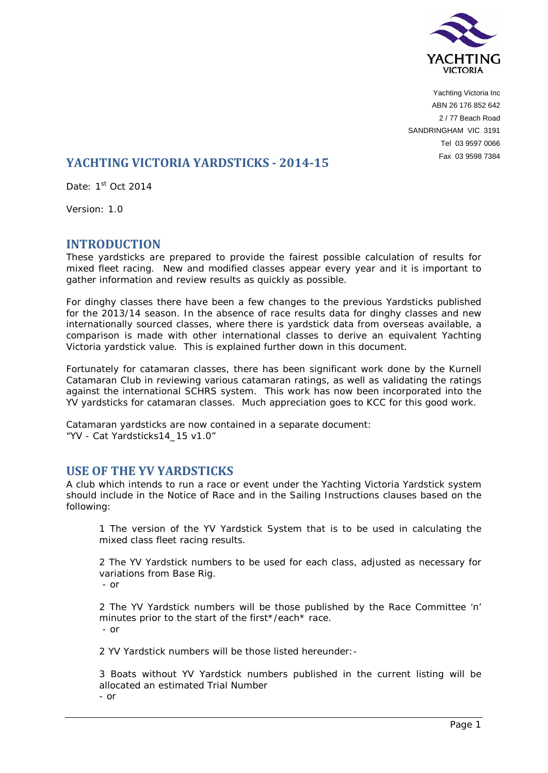

Yachting Victoria Inc ABN 26 176 852 642 2 / 77 Beach Road SANDRINGHAM VIC 3191 Tel 03 9597 0066 Fax 03 9598 7384

# **YACHTING VICTORIA YARDSTICKS - 2014-15**

Date: 1st Oct 2014

Version: 1.0

### **INTRODUCTION**

These yardsticks are prepared to provide the fairest possible calculation of results for mixed fleet racing. New and modified classes appear every year and it is important to gather information and review results as quickly as possible.

For dinghy classes there have been a few changes to the previous Yardsticks published for the 2013/14 season. In the absence of race results data for dinghy classes and new internationally sourced classes, where there is yardstick data from overseas available, a comparison is made with other international classes to derive an equivalent Yachting Victoria yardstick value. This is explained further down in this document.

Fortunately for catamaran classes, there has been significant work done by the Kurnell Catamaran Club in reviewing various catamaran ratings, as well as validating the ratings against the international SCHRS system. This work has now been incorporated into the YV yardsticks for catamaran classes. Much appreciation goes to KCC for this good work.

Catamaran yardsticks are now contained in a separate document: "YV - Cat Yardsticks14\_15 v1.0"

# **USE OF THE YV YARDSTICKS**

A club which intends to run a race or event under the Yachting Victoria Yardstick system should include in the Notice of Race and in the Sailing Instructions clauses based on the following:

1 The version of the YV Yardstick System that is to be used in calculating the mixed class fleet racing results.

2 The YV Yardstick numbers to be used for each class, adjusted as necessary for variations from Base Rig.

- or

2 The YV Yardstick numbers will be those published by the Race Committee 'n' minutes prior to the start of the first\*/each\* race. - or

2 YV Yardstick numbers will be those listed hereunder:-

3 Boats without YV Yardstick numbers published in the current listing will be allocated an estimated Trial Number

- or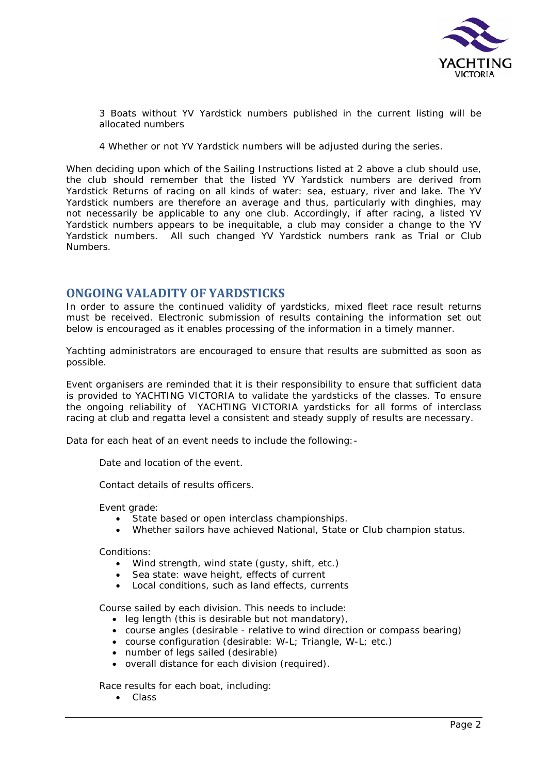

3 Boats without YV Yardstick numbers published in the current listing will be allocated numbers

4 Whether or not YV Yardstick numbers will be adjusted during the series.

When deciding upon which of the Sailing Instructions listed at 2 above a club should use, the club should remember that the listed YV Yardstick numbers are derived from Yardstick Returns of racing on all kinds of water: sea, estuary, river and lake. The YV Yardstick numbers are therefore an average and thus, particularly with dinghies, may not necessarily be applicable to any one club. Accordingly, if after racing, a listed YV Yardstick numbers appears to be inequitable, a club may consider a change to the YV Yardstick numbers. All such changed YV Yardstick numbers rank as Trial or Club Numbers.

### **ONGOING VALADITY OF YARDSTICKS**

In order to assure the continued validity of yardsticks, mixed fleet race result returns must be received. Electronic submission of results containing the information set out below is encouraged as it enables processing of the information in a timely manner.

Yachting administrators are encouraged to ensure that results are submitted as soon as possible.

Event organisers are reminded that it is their responsibility to ensure that sufficient data is provided to YACHTING VICTORIA to validate the yardsticks of the classes. To ensure the ongoing reliability of YACHTING VICTORIA yardsticks for all forms of interclass racing at club and regatta level a consistent and steady supply of results are necessary.

Data for each heat of an event needs to include the following:-

Date and location of the event.

Contact details of results officers.

Event grade:

- State based or open interclass championships.
- Whether sailors have achieved National, State or Club champion status.

Conditions:

- Wind strength, wind state (gusty, shift, etc.)
- Sea state: wave height, effects of current
- Local conditions, such as land effects, currents

Course sailed by each division. This needs to include:

- leg length (this is desirable but not mandatory),
- course angles (desirable relative to wind direction or compass bearing)
- course configuration (desirable: W-L; Triangle, W-L; etc.)
- number of legs sailed (desirable)
- overall distance for each division (required).

Race results for each boat, including:

• Class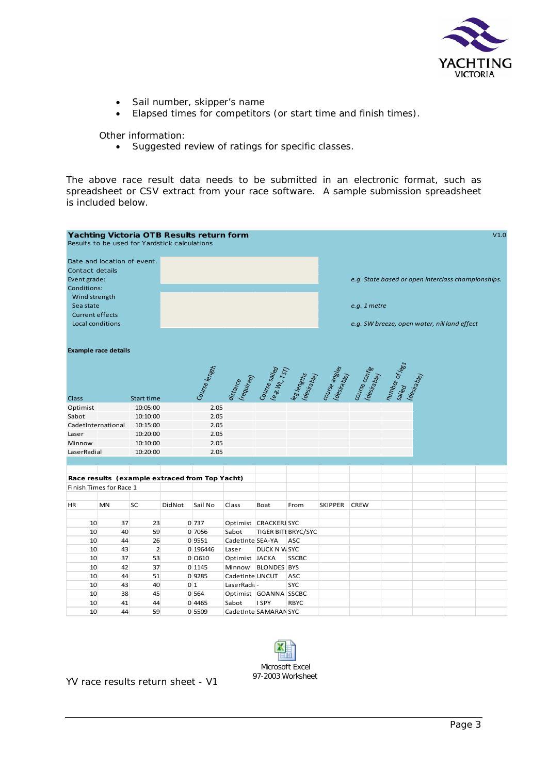

- Sail number, skipper's name
- Elapsed times for competitors (or start time and finish times).

Other information:

• Suggested review of ratings for specific classes.

The above race result data needs to be submitted in an electronic format, such as spreadsheet or CSV extract from your race software. A sample submission spreadsheet is included below.





YV race results return sheet - V1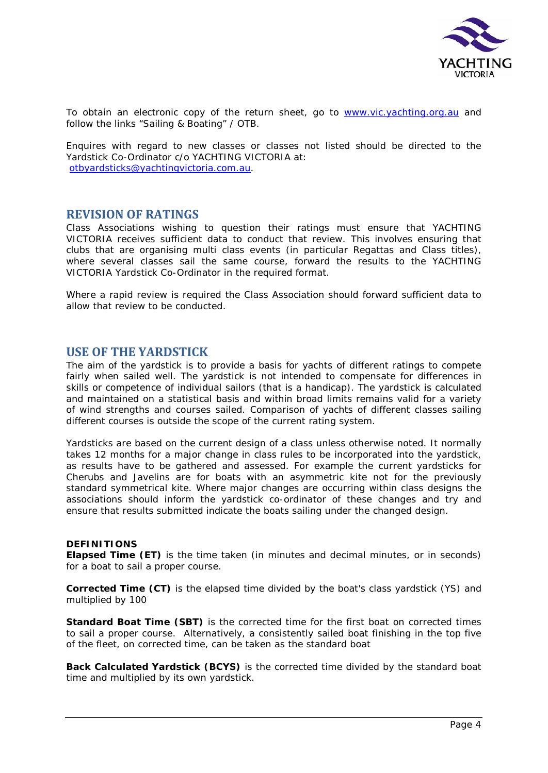

To obtain an electronic copy of the return sheet, go to [www.vic.yachting.org.au](http://www.vic.yachting.org.au/) and follow the links "Sailing & Boating" / OTB.

Enquires with regard to new classes or classes not listed should be directed to the Yardstick Co-Ordinator c/o YACHTING VICTORIA at: [otbyardsticks@yachtingvictoria.com.au.](mailto:otbyardsticks@yachtingvictoria.com.au)

### **REVISION OF RATINGS**

Class Associations wishing to question their ratings must ensure that YACHTING VICTORIA receives sufficient data to conduct that review. This involves ensuring that clubs that are organising multi class events (in particular Regattas and Class titles), where several classes sail the same course, forward the results to the YACHTING VICTORIA Yardstick Co-Ordinator in the required format.

Where a rapid review is required the Class Association should forward sufficient data to allow that review to be conducted.

### **USE OF THE YARDSTICK**

The aim of the yardstick is to provide a basis for yachts of different ratings to compete fairly when sailed well. The yardstick is not intended to compensate for differences in skills or competence of individual sailors (that is a handicap). The yardstick is calculated and maintained on a statistical basis and within broad limits remains valid for a variety of wind strengths and courses sailed. Comparison of yachts of different classes sailing different courses is outside the scope of the current rating system.

Yardsticks are based on the current design of a class unless otherwise noted. It normally takes 12 months for a major change in class rules to be incorporated into the yardstick, as results have to be gathered and assessed. For example the current yardsticks for Cherubs and Javelins are for boats with an asymmetric kite not for the previously standard symmetrical kite. Where major changes are occurring within class designs the associations should inform the yardstick co-ordinator of these changes and try and ensure that results submitted indicate the boats sailing under the changed design.

#### **DEFINITIONS**

**Elapsed Time (ET)** is the time taken (in minutes and decimal minutes, or in seconds) for a boat to sail a proper course.

**Corrected Time (CT)** is the elapsed time divided by the boat's class yardstick (YS) and multiplied by 100

**Standard Boat Time (SBT)** is the corrected time for the first boat on corrected times to sail a proper course. Alternatively, a consistently sailed boat finishing in the top five of the fleet, on corrected time, can be taken as the standard boat

**Back Calculated Yardstick (BCYS)** is the corrected time divided by the standard boat time and multiplied by its own yardstick.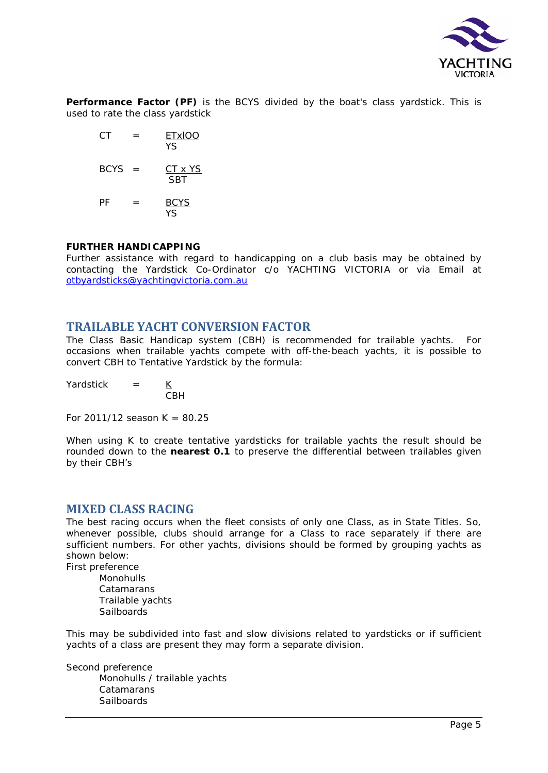

**Performance Factor (PF)** is the BCYS divided by the boat's class yardstick. This is used to rate the class yardstick

 $CT = \frac{ETx100}{ }$ **The Contract of the State State State**  $BCYS = CT \times YS$ **SBT**  $PF = BCYS$ YS

#### **FURTHER HANDICAPPING**

Further assistance with regard to handicapping on a club basis may be obtained by contacting the Yardstick Co-Ordinator c/o YACHTING VICTORIA or via Email at [otbyardsticks@yachtingvictoria.com.au](mailto:otbyardsticks@yachtingvictoria.com.au)

### **TRAILABLE YACHT CONVERSION FACTOR**

The Class Basic Handicap system (CBH) is recommended for trailable yachts. For occasions when trailable yachts compete with off-the-beach yachts, it is possible to convert CBH to Tentative Yardstick by the formula:

Yardstick  $=$   $K$ CBH

For 2011/12 season  $K = 80.25$ 

When using K to create tentative yardsticks for trailable yachts the result should be rounded down to the **nearest 0.1** to preserve the differential between trailables given by their CBH's

### **MIXED CLASS RACING**

The best racing occurs when the fleet consists of only one Class, as in State Titles. So, whenever possible, clubs should arrange for a Class to race separately if there are sufficient numbers. For other yachts, divisions should be formed by grouping yachts as shown below:

First preference

Monohulls Catamarans Trailable yachts **Sailboards** 

This may be subdivided into fast and slow divisions related to yardsticks or if sufficient yachts of a class are present they may form a separate division.

Second preference Monohulls / trailable yachts Catamarans **Sailboards**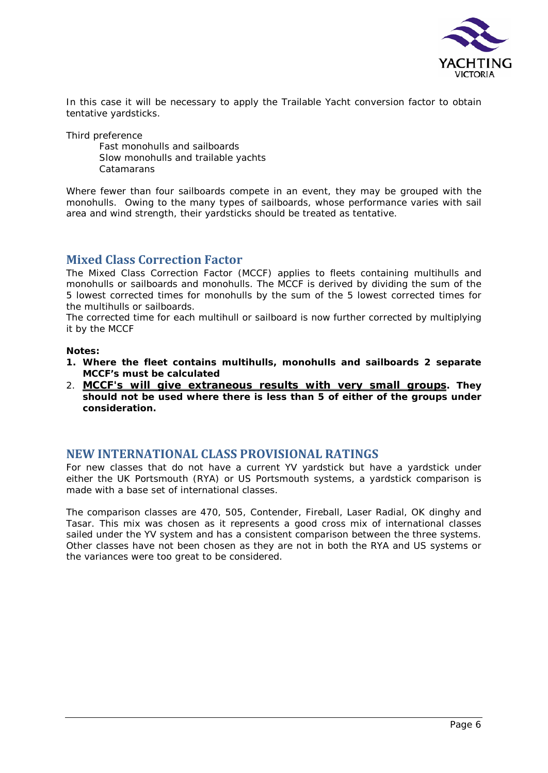

In this case it will be necessary to apply the Trailable Yacht conversion factor to obtain tentative yardsticks.

Third preference

Fast monohulls and sailboards Slow monohulls and trailable yachts Catamarans

Where fewer than four sailboards compete in an event, they may be grouped with the monohulls. Owing to the many types of sailboards, whose performance varies with sail area and wind strength, their yardsticks should be treated as tentative.

# **Mixed Class Correction Factor**

The Mixed Class Correction Factor (MCCF) applies to fleets containing multihulls and monohulls or sailboards and monohulls. The MCCF is derived by dividing the sum of the 5 lowest corrected times for monohulls by the sum of the 5 lowest corrected times for the multihulls or sailboards.

The corrected time for each multihull or sailboard is now further corrected by multiplying it by the MCCF

#### *Notes:*

- *1. Where the fleet contains multihulls, monohulls and sailboards 2 separate MCCF's must be calculated*
- 2. *MCCF's will give extraneous results with very small groups. They should not be used where there is less than 5 of either of the groups under consideration.*

# **NEW INTERNATIONAL CLASS PROVISIONAL RATINGS**

For new classes that do not have a current YV yardstick but have a yardstick under either the UK Portsmouth (RYA) or US Portsmouth systems, a yardstick comparison is made with a base set of international classes.

The comparison classes are 470, 505, Contender, Fireball, Laser Radial, OK dinghy and Tasar. This mix was chosen as it represents a good cross mix of international classes sailed under the YV system and has a consistent comparison between the three systems. Other classes have not been chosen as they are not in both the RYA and US systems or the variances were too great to be considered.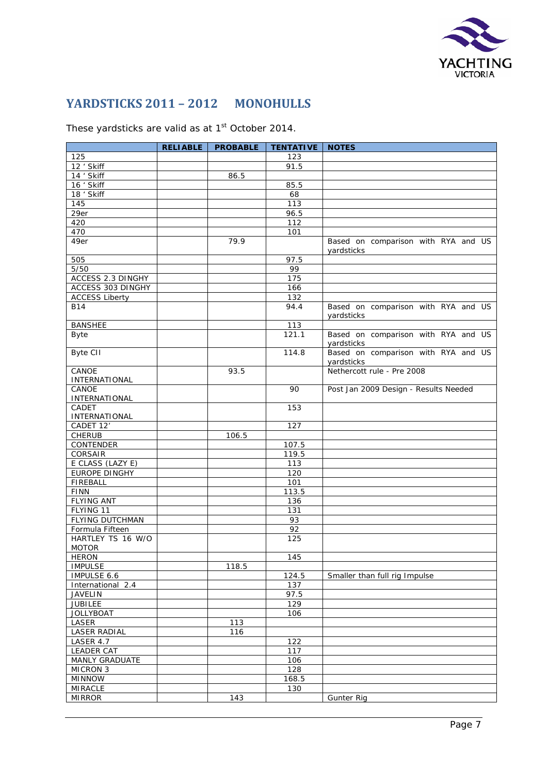

# **YARDSTICKS 2011 – 2012 MONOHULLS**

These yardsticks are valid as at 1<sup>st</sup> October 2014.

|                                   | <b>RELIABLE</b> | <b>PROBABLE</b> | <b>TENTATIVE   NOTES</b> |                                                   |
|-----------------------------------|-----------------|-----------------|--------------------------|---------------------------------------------------|
| 125                               |                 |                 | 123                      |                                                   |
| 12 ' Skiff                        |                 |                 | 91.5                     |                                                   |
| 14 ' Skiff                        |                 | 86.5            |                          |                                                   |
| 16 ' Skiff                        |                 |                 | 85.5                     |                                                   |
| 18 ' Skiff                        |                 |                 | 68                       |                                                   |
| 145                               |                 |                 | $\overline{113}$         |                                                   |
| 29er                              |                 |                 | 96.5                     |                                                   |
| 420                               |                 |                 | 112                      |                                                   |
| 470                               |                 |                 | 101                      |                                                   |
| 49er                              |                 | 79.9            |                          | Based on comparison with RYA and US               |
|                                   |                 |                 |                          | yardsticks                                        |
| 505                               |                 |                 | 97.5                     |                                                   |
| $5/50$                            |                 |                 | 99                       |                                                   |
| <b>ACCESS 2.3 DINGHY</b>          |                 |                 | 175                      |                                                   |
| ACCESS 303 DINGHY                 |                 |                 | 166                      |                                                   |
| <b>ACCESS Liberty</b>             |                 |                 | 132                      |                                                   |
| <b>B14</b>                        |                 |                 | 94.4                     | Based on comparison with RYA and US<br>yardsticks |
| <b>BANSHEE</b>                    |                 |                 | 113                      |                                                   |
| <b>Byte</b>                       |                 |                 | 121.1                    | Based on comparison with RYA and US               |
|                                   |                 |                 |                          | yardsticks                                        |
| <b>Byte CII</b>                   |                 |                 | 114.8                    | Based on comparison with RYA and US<br>yardsticks |
| CANOE                             |                 | 93.5            |                          | Nethercott rule - Pre 2008                        |
| INTERNATIONAL                     |                 |                 |                          |                                                   |
| CANOE                             |                 |                 | 90                       | Post Jan 2009 Design - Results Needed             |
| INTERNATIONAL                     |                 |                 |                          |                                                   |
| CADET                             |                 |                 | 153                      |                                                   |
| INTERNATIONAL                     |                 |                 |                          |                                                   |
| CADET 12'                         |                 |                 | 127                      |                                                   |
| <b>CHERUB</b>                     |                 | 106.5           |                          |                                                   |
| CONTENDER                         |                 |                 | 107.5                    |                                                   |
| <b>CORSAIR</b>                    |                 |                 | 119.5                    |                                                   |
| E CLASS (LAZY E)                  |                 |                 | 113                      |                                                   |
| EUROPE DINGHY                     |                 |                 | 120                      |                                                   |
| <b>FIREBALL</b>                   |                 |                 | 101                      |                                                   |
| <b>FINN</b>                       |                 |                 | 113.5                    |                                                   |
| <b>FLYING ANT</b>                 |                 |                 | 136                      |                                                   |
| FLYING 11                         |                 |                 | 131                      |                                                   |
| FLYING DUTCHMAN                   |                 |                 | 93                       |                                                   |
| Formula Fifteen                   |                 |                 | $\overline{92}$          |                                                   |
| HARTLEY TS 16 W/O<br><b>MOTOR</b> |                 |                 | 125                      |                                                   |
| <b>HERON</b>                      |                 |                 | 145                      |                                                   |
| <b>IMPULSE</b>                    |                 | 118.5           |                          |                                                   |
| IMPULSE 6.6                       |                 |                 | 124.5                    | Smaller than full rig Impulse                     |
| International 2.4                 |                 |                 | 137                      |                                                   |
| <b>JAVELIN</b>                    |                 |                 | 97.5                     |                                                   |
| <b>JUBILEE</b>                    |                 |                 | 129                      |                                                   |
| <b>JOLLYBOAT</b>                  |                 |                 | 106                      |                                                   |
| LASER                             |                 | 113             |                          |                                                   |
| <b>LASER RADIAL</b>               |                 | 116             |                          |                                                   |
| LASER 4.7                         |                 |                 | 122                      |                                                   |
| <b>LEADER CAT</b>                 |                 |                 | 117                      |                                                   |
| MANLY GRADUATE                    |                 |                 | 106                      |                                                   |
| <b>MICRON 3</b>                   |                 |                 | 128                      |                                                   |
| <b>MINNOW</b>                     |                 |                 | 168.5                    |                                                   |
| <b>MIRACLE</b>                    |                 |                 | 130                      |                                                   |
| <b>MIRROR</b>                     |                 | 143             |                          | <b>Gunter Rig</b>                                 |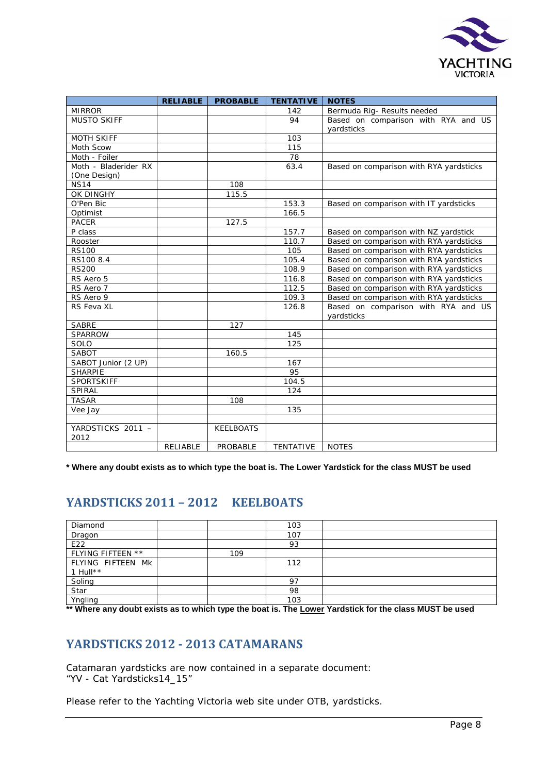

|                      | <b>RELIABLE</b> | <b>PROBABLE</b>  | <b>TENTATIVE</b> | <b>NOTES</b>                            |  |
|----------------------|-----------------|------------------|------------------|-----------------------------------------|--|
| <b>MIRROR</b>        |                 |                  | 142              | Bermuda Rig- Results needed             |  |
| <b>MUSTO SKIFF</b>   |                 |                  | 94               | Based on comparison with RYA and US     |  |
|                      |                 |                  |                  | vardsticks                              |  |
| <b>MOTH SKIFF</b>    |                 |                  | 103              |                                         |  |
| Moth Scow            |                 |                  | 115              |                                         |  |
| Moth - Foiler        |                 |                  | 78               |                                         |  |
| Moth - Bladerider RX |                 |                  | 63.4             | Based on comparison with RYA yardsticks |  |
| (One Design)         |                 |                  |                  |                                         |  |
| <b>NS14</b>          |                 | 108              |                  |                                         |  |
| OK DINGHY            |                 | 115.5            |                  |                                         |  |
| O'Pen Bic            |                 |                  | 153.3            | Based on comparison with IT yardsticks  |  |
| Optimist             |                 |                  | 166.5            |                                         |  |
| <b>PACER</b>         |                 | 127.5            |                  |                                         |  |
| P class              |                 |                  | 157.7            | Based on comparison with NZ yardstick   |  |
| Rooster              |                 |                  | 110.7            | Based on comparison with RYA yardsticks |  |
| <b>RS100</b>         |                 |                  | 105              | Based on comparison with RYA yardsticks |  |
| RS100 8.4            |                 |                  | 105.4            | Based on comparison with RYA yardsticks |  |
| <b>RS200</b>         |                 |                  | 108.9            | Based on comparison with RYA yardsticks |  |
| RS Aero 5            |                 |                  | 116.8            | Based on comparison with RYA yardsticks |  |
| RS Aero 7            |                 |                  | 112.5            | Based on comparison with RYA yardsticks |  |
| RS Aero 9            |                 |                  | 109.3            | Based on comparison with RYA yardsticks |  |
| RS Feva XL           |                 |                  | 126.8            | Based on comparison with RYA and US     |  |
|                      |                 |                  |                  | yardsticks                              |  |
| <b>SABRE</b>         |                 | 127              |                  |                                         |  |
| <b>SPARROW</b>       |                 |                  | 145              |                                         |  |
| SOLO                 |                 |                  | 125              |                                         |  |
| <b>SABOT</b>         |                 | 160.5            |                  |                                         |  |
| SABOT Junior (2 UP)  |                 |                  | 167              |                                         |  |
| <b>SHARPIE</b>       |                 |                  | 95               |                                         |  |
| <b>SPORTSKIFF</b>    |                 |                  | 104.5            |                                         |  |
| SPIRAL               |                 |                  | 124              |                                         |  |
| <b>TASAR</b>         |                 | 108              |                  |                                         |  |
| Vee Jay              |                 |                  | 135              |                                         |  |
|                      |                 |                  |                  |                                         |  |
| YARDSTICKS 2011 -    |                 | <b>KEELBOATS</b> |                  |                                         |  |
| 2012                 |                 |                  |                  |                                         |  |
|                      | RELIABLE        | PROBABLE         | <b>TENTATIVE</b> | <b>NOTES</b>                            |  |

**\* Where any doubt exists as to which type the boat is. The Lower Yardstick for the class MUST be used**

# **YARDSTICKS 2011 – 2012 KEELBOATS**

| Diamond           |     | 103 |  |
|-------------------|-----|-----|--|
| Dragon            |     | 107 |  |
| E22               |     | 93  |  |
| FLYING FIFTEEN ** | 109 |     |  |
| FLYING FIFTEEN MK |     | 112 |  |
| 1 Hull $**$       |     |     |  |
| Soling<br>Star    |     | 97  |  |
|                   |     | 98  |  |
| Yngling           |     | 103 |  |

**\*\* Where any doubt exists as to which type the boat is. The Lower Yardstick for the class MUST be used**

# **YARDSTICKS 2012 - 2013 CATAMARANS**

Catamaran yardsticks are now contained in a separate document: "YV - Cat Yardsticks14\_15"

Please refer to the Yachting Victoria web site under OTB, yardsticks.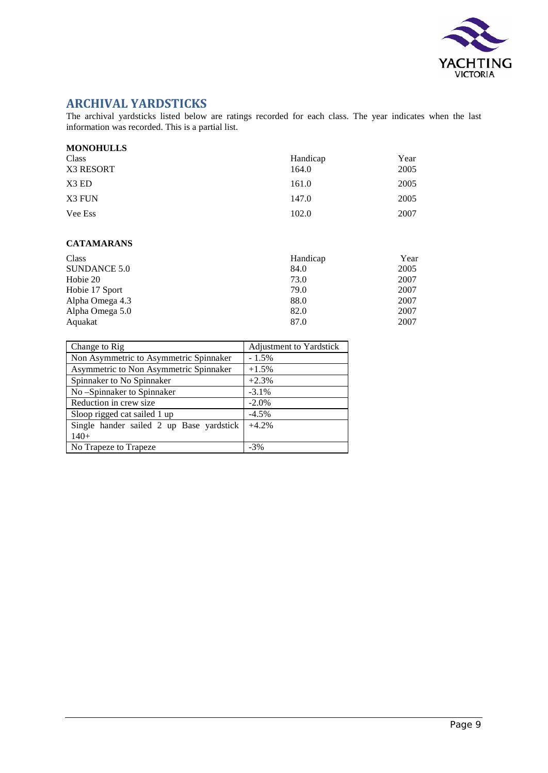

# **ARCHIVAL YARDSTICKS**

The archival yardsticks listed below are ratings recorded for each class. The year indicates when the last information was recorded. This is a partial list.

| <b>MONOHULLS</b> |          |      |
|------------------|----------|------|
| Class            | Handicap | Year |
| X3 RESORT        | 164.0    | 2005 |
| X3 ED            | 161.0    | 2005 |
| X3 FUN           | 147.0    | 2005 |
| Vee Ess          | 102.0    | 2007 |

#### **CATAMARANS**

| Class           | Handicap | Year |
|-----------------|----------|------|
| SUNDANCE 5.0    | 84.0     | 2005 |
| Hobie 20        | 73.0     | 2007 |
| Hobie 17 Sport  | 79.0     | 2007 |
| Alpha Omega 4.3 | 88.0     | 2007 |
| Alpha Omega 5.0 | 82.0     | 2007 |
| Aquakat         | 87.0     | 2007 |

| Change to Rig                            | Adjustment to Yardstick |
|------------------------------------------|-------------------------|
| Non Asymmetric to Asymmetric Spinnaker   | $-1.5\%$                |
| Asymmetric to Non Asymmetric Spinnaker   | $+1.5%$                 |
| Spinnaker to No Spinnaker                | $+2.3%$                 |
| No-Spinnaker to Spinnaker                | $-3.1\%$                |
| Reduction in crew size                   | $-2.0\%$                |
| Sloop rigged cat sailed 1 up             | $-4.5%$                 |
| Single hander sailed 2 up Base yardstick | $+4.2%$                 |
| $140+$                                   |                         |
| No Trapeze to Trapeze                    | $-3\%$                  |